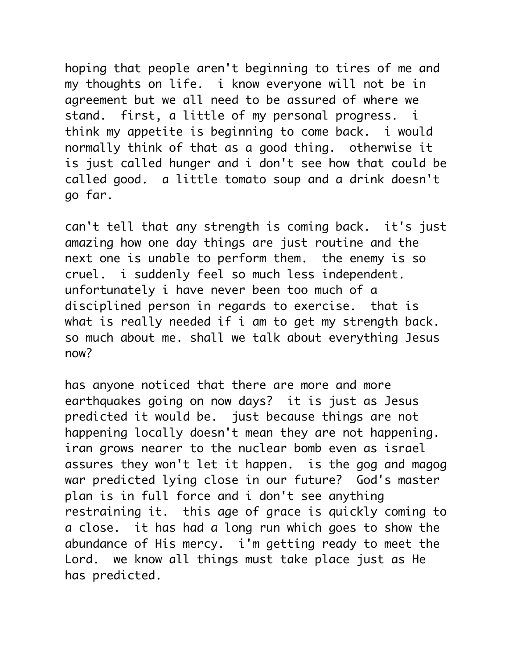hoping that people aren't beginning to tires of me and my thoughts on life. i know everyone will not be in agreement but we all need to be assured of where we stand. first, a little of my personal progress. i think my appetite is beginning to come back. i would normally think of that as a good thing. otherwise it is just called hunger and i don't see how that could be called good. a little tomato soup and a drink doesn't go far.

can't tell that any strength is coming back. it's just amazing how one day things are just routine and the next one is unable to perform them. the enemy is so cruel. i suddenly feel so much less independent. unfortunately i have never been too much of a disciplined person in regards to exercise. that is what is really needed if i am to get my strength back. so much about me. shall we talk about everything Jesus now?

has anyone noticed that there are more and more earthquakes going on now days? it is just as Jesus predicted it would be. just because things are not happening locally doesn't mean they are not happening. iran grows nearer to the nuclear bomb even as israel assures they won't let it happen. is the gog and magog war predicted lying close in our future? God's master plan is in full force and i don't see anything restraining it. this age of grace is quickly coming to a close. it has had a long run which goes to show the abundance of His mercy. i'm getting ready to meet the Lord. we know all things must take place just as He has predicted.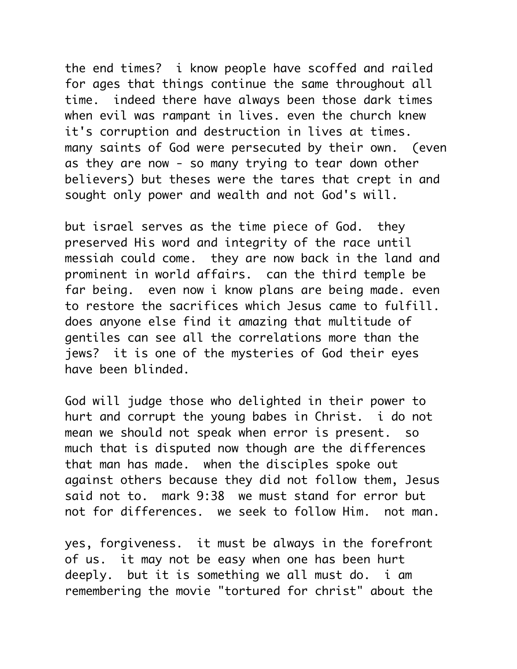the end times? i know people have scoffed and railed for ages that things continue the same throughout all time. indeed there have always been those dark times when evil was rampant in lives. even the church knew it's corruption and destruction in lives at times. many saints of God were persecuted by their own. (even as they are now - so many trying to tear down other believers) but theses were the tares that crept in and sought only power and wealth and not God's will.

but israel serves as the time piece of God. they preserved His word and integrity of the race until messiah could come. they are now back in the land and prominent in world affairs. can the third temple be far being. even now i know plans are being made. even to restore the sacrifices which Jesus came to fulfill. does anyone else find it amazing that multitude of gentiles can see all the correlations more than the jews? it is one of the mysteries of God their eyes have been blinded.

God will judge those who delighted in their power to hurt and corrupt the young babes in Christ. i do not mean we should not speak when error is present. so much that is disputed now though are the differences that man has made. when the disciples spoke out against others because they did not follow them, Jesus said not to. mark 9:38 we must stand for error but not for differences. we seek to follow Him. not man.

yes, forgiveness. it must be always in the forefront of us. it may not be easy when one has been hurt deeply. but it is something we all must do. i am remembering the movie "tortured for christ" about the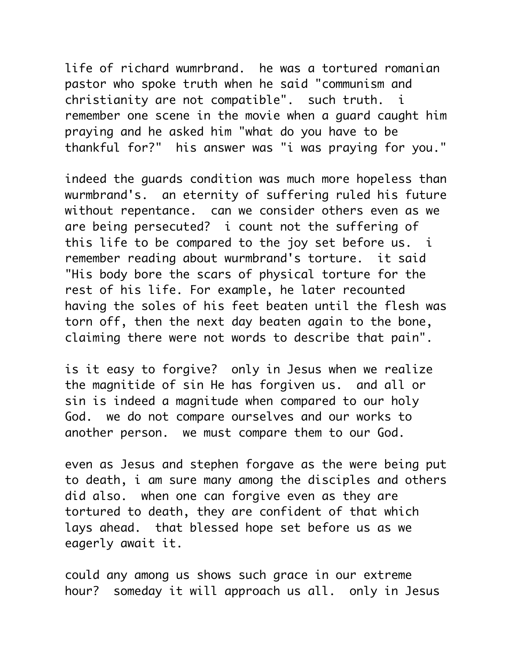life of richard wumrbrand. he was a tortured romanian pastor who spoke truth when he said "communism and christianity are not compatible". such truth. i remember one scene in the movie when a guard caught him praying and he asked him "what do you have to be thankful for?" his answer was "i was praying for you."

indeed the guards condition was much more hopeless than wurmbrand's. an eternity of suffering ruled his future without repentance. can we consider others even as we are being persecuted? i count not the suffering of this life to be compared to the joy set before us. i remember reading about wurmbrand's torture. it said "His body bore the scars of physical torture for the rest of his life. For example, he later recounted having the soles of his feet beaten until the flesh was torn off, then the next day beaten again to the bone, claiming there were not words to describe that pain".

is it easy to forgive? only in Jesus when we realize the magnitide of sin He has forgiven us. and all or sin is indeed a magnitude when compared to our holy God. we do not compare ourselves and our works to another person. we must compare them to our God.

even as Jesus and stephen forgave as the were being put to death, i am sure many among the disciples and others did also. when one can forgive even as they are tortured to death, they are confident of that which lays ahead. that blessed hope set before us as we eagerly await it.

could any among us shows such grace in our extreme hour? someday it will approach us all. only in Jesus